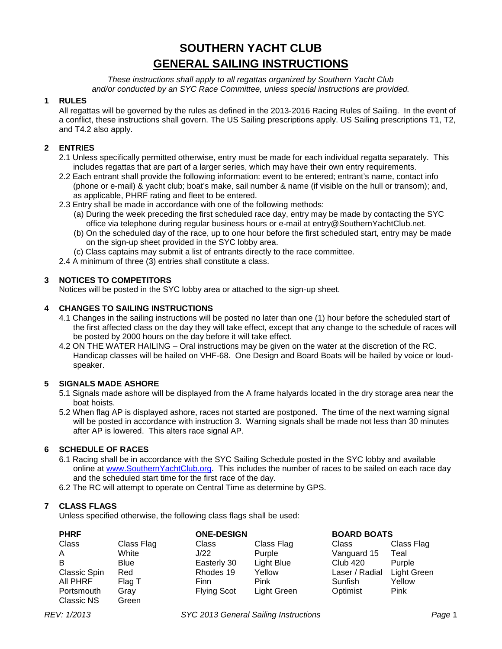# **SOUTHERN YACHT CLUB GENERAL SAILING INSTRUCTIONS**

*These instructions shall apply to all regattas organized by Southern Yacht Club and/or conducted by an SYC Race Committee, unless special instructions are provided.*

#### **1 RULES**

All regattas will be governed by the rules as defined in the 2013-2016 Racing Rules of Sailing. In the event of a conflict, these instructions shall govern. The US Sailing prescriptions apply. US Sailing prescriptions T1, T2, and T4.2 also apply.

#### **2 ENTRIES**

- 2.1 Unless specifically permitted otherwise, entry must be made for each individual regatta separately. This includes regattas that are part of a larger series, which may have their own entry requirements.
- 2.2 Each entrant shall provide the following information: event to be entered; entrant's name, contact info (phone or e-mail) & yacht club; boat's make, sail number & name (if visible on the hull or transom); and, as applicable, PHRF rating and fleet to be entered.
- 2.3 Entry shall be made in accordance with one of the following methods:
	- (a) During the week preceding the first scheduled race day, entry may be made by contacting the SYC office via telephone during regular business hours or e-mail at entry@SouthernYachtClub.net.
	- (b) On the scheduled day of the race, up to one hour before the first scheduled start, entry may be made on the sign-up sheet provided in the SYC lobby area.
	- (c) Class captains may submit a list of entrants directly to the race committee.

2.4 A minimum of three (3) entries shall constitute a class.

#### **3 NOTICES TO COMPETITORS**

Notices will be posted in the SYC lobby area or attached to the sign-up sheet.

#### **4 CHANGES TO SAILING INSTRUCTIONS**

- 4.1 Changes in the sailing instructions will be posted no later than one (1) hour before the scheduled start of the first affected class on the day they will take effect, except that any change to the schedule of races will be posted by 2000 hours on the day before it will take effect.
- 4.2 ON THE WATER HAILING Oral instructions may be given on the water at the discretion of the RC. Handicap classes will be hailed on VHF-68. One Design and Board Boats will be hailed by voice or loudspeaker.

#### **5 SIGNALS MADE ASHORE**

- 5.1 Signals made ashore will be displayed from the A frame halyards located in the dry storage area near the boat hoists.
- 5.2 When flag AP is displayed ashore, races not started are postponed. The time of the next warning signal will be posted in accordance with instruction 3. Warning signals shall be made not less than 30 minutes after AP is lowered. This alters race signal AP.

#### **6 SCHEDULE OF RACES**

- 6.1 Racing shall be in accordance with the SYC Sailing Schedule posted in the SYC lobby and available online at [www.SouthernYachtClub.org.](http://www.southernyachtclub.org/) This includes the number of races to be sailed on each race day and the scheduled start time for the first race of the day.
- 6.2 The RC will attempt to operate on Central Time as determine by GPS.

#### **7 CLASS FLAGS**

Unless specified otherwise, the following class flags shall be used:

| <b>PHRF</b>  |                   | <b>ONE-DESIGN</b>  |                   | <b>BOARD BOATS</b> |                    |
|--------------|-------------------|--------------------|-------------------|--------------------|--------------------|
| Class        | <b>Class Flag</b> | Class              | <b>Class Flag</b> | Class              | <b>Class Flag</b>  |
| A            | White             | J/22               | Purple            | Vanguard 15        | Teal               |
| в            | <b>Blue</b>       | Easterly 30        | Light Blue        | <b>Club 420</b>    | Purple             |
| Classic Spin | Red               | Rhodes 19          | Yellow            | Laser / Radial     | <b>Light Green</b> |
| AII PHRF     | Flag T            | Finn               | Pink              | Sunfish            | Yellow             |
| Portsmouth   | Grav              | <b>Flying Scot</b> | Light Green       | Optimist           | Pink               |
| Classic NS   | Green             |                    |                   |                    |                    |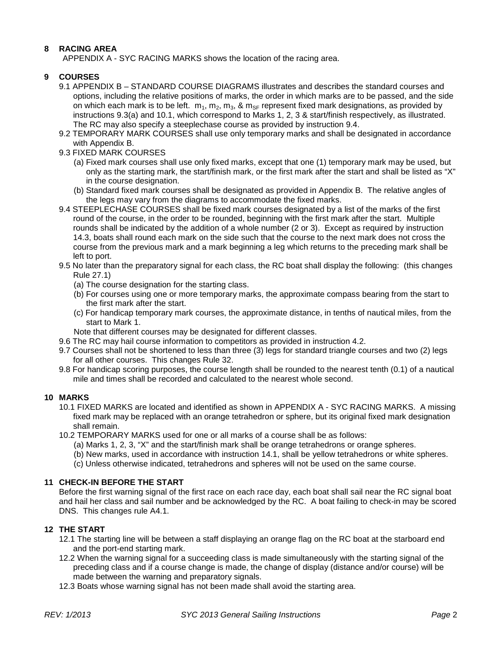#### **8 RACING AREA**

APPENDIX A - SYC RACING MARKS shows the location of the racing area.

#### **9 COURSES**

- 9.1 APPENDIX B STANDARD COURSE DIAGRAMS illustrates and describes the standard courses and options, including the relative positions of marks, the order in which marks are to be passed, and the side on which each mark is to be left.  $m_1, m_2, m_3, \& m_{SF}$  represent fixed mark designations, as provided by instructions 9.3(a) and 10.1, which correspond to Marks 1, 2, 3 & start/finish respectively, as illustrated. The RC may also specify a steeplechase course as provided by instruction 9.4.
- 9.2 TEMPORARY MARK COURSES shall use only temporary marks and shall be designated in accordance with Appendix B.
- 9.3 FIXED MARK COURSES
	- (a) Fixed mark courses shall use only fixed marks, except that one (1) temporary mark may be used, but only as the starting mark, the start/finish mark, or the first mark after the start and shall be listed as "X" in the course designation.
	- (b) Standard fixed mark courses shall be designated as provided in Appendix B. The relative angles of the legs may vary from the diagrams to accommodate the fixed marks.
- 9.4 STEEPLECHASE COURSES shall be fixed mark courses designated by a list of the marks of the first round of the course, in the order to be rounded, beginning with the first mark after the start. Multiple rounds shall be indicated by the addition of a whole number (2 or 3). Except as required by instruction 14.3, boats shall round each mark on the side such that the course to the next mark does not cross the course from the previous mark and a mark beginning a leg which returns to the preceding mark shall be left to port.
- 9.5 No later than the preparatory signal for each class, the RC boat shall display the following: (this changes Rule 27.1)
	- (a) The course designation for the starting class.
	- (b) For courses using one or more temporary marks, the approximate compass bearing from the start to the first mark after the start.
	- (c) For handicap temporary mark courses, the approximate distance, in tenths of nautical miles, from the start to Mark 1.
	- Note that different courses may be designated for different classes.
- 9.6 The RC may hail course information to competitors as provided in instruction 4.2.
- 9.7 Courses shall not be shortened to less than three (3) legs for standard triangle courses and two (2) legs for all other courses. This changes Rule 32.
- 9.8 For handicap scoring purposes, the course length shall be rounded to the nearest tenth (0.1) of a nautical mile and times shall be recorded and calculated to the nearest whole second.

#### **10 MARKS**

- 10.1 FIXED MARKS are located and identified as shown in APPENDIX A SYC RACING MARKS. A missing fixed mark may be replaced with an orange tetrahedron or sphere, but its original fixed mark designation shall remain.
- <span id="page-1-0"></span>10.2 TEMPORARY MARKS used for one or all marks of a course shall be as follows:
	- (a) Marks 1, 2, 3, "X" and the start/finish mark shall be orange tetrahedrons or orange spheres.
	- (b) New marks, used in accordance with instruction 14.1, shall be yellow tetrahedrons or white spheres.
	- (c) Unless otherwise indicated, tetrahedrons and spheres will not be used on the same course.

#### **11 CHECK-IN BEFORE THE START**

Before the first warning signal of the first race on each race day, each boat shall sail near the RC signal boat and hail her class and sail number and be acknowledged by the RC. A boat failing to check-in may be scored DNS. This changes rule A4.1.

#### **12 THE START**

- 12.1 The starting line will be between a staff displaying an orange flag on the RC boat at the starboard end and the port-end starting mark.
- 12.2 When the warning signal for a succeeding class is made simultaneously with the starting signal of the preceding class and if a course change is made, the change of display (distance and/or course) will be made between the warning and preparatory signals.
- 12.3 Boats whose warning signal has not been made shall avoid the starting area.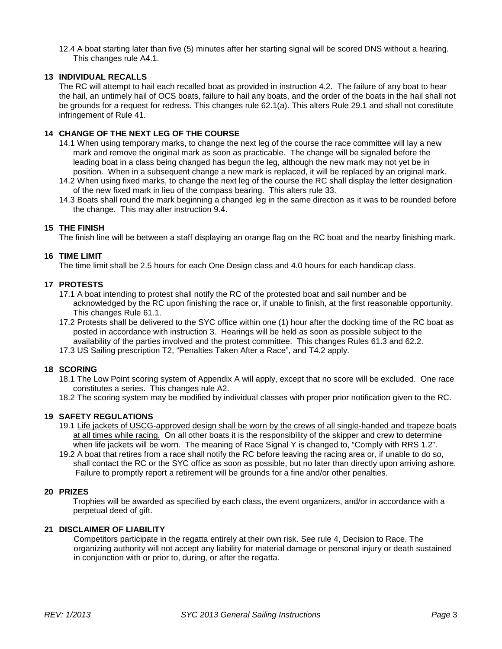12.4 A boat starting later than five (5) minutes after her starting signal will be scored DNS without a hearing. This changes rule A4.1.

#### **13 INDIVIDUAL RECALLS**

The RC will attempt to hail each recalled boat as provided in instruction 4.2. The failure of any boat to hear the hail, an untimely hail of OCS boats, failure to hail any boats, and the order of the boats in the hail shall not be grounds for a request for redress. This changes rule 62.1(a). This alters Rule 29.1 and shall not constitute infringement of Rule 41.

#### **14 CHANGE OF THE NEXT LEG OF THE COURSE**

- 14.1 When using temporary marks, to change the next leg of the course the race committee will lay a new mark and remove the original mark as soon as practicable. The change will be signaled before the leading boat in a class being changed has begun the leg, although the new mark may not yet be in position. When in a subsequent change a new mark is replaced, it will be replaced by an original mark.
- 14.2 When using fixed marks, to change the next leg of the course the RC shall display the letter designation of the new fixed mark in lieu of the compass bearing. This alters rule 33.
- 14.3 Boats shall round the mark beginning a changed leg in the same direction as it was to be rounded before the change. This may alter instruction 9.4.

#### **15 THE FINISH**

The finish line will be between a staff displaying an orange flag on the RC boat and the nearby finishing mark.

#### **16 TIME LIMIT**

The time limit shall be 2.5 hours for each One Design class and 4.0 hours for each handicap class.

#### **17 PROTESTS**

- 17.1 A boat intending to protest shall notify the RC of the protested boat and sail number and be acknowledged by the RC upon finishing the race or, if unable to finish, at the first reasonable opportunity. This changes Rule 61.1.
- 17.2 Protests shall be delivered to the SYC office within one (1) hour after the docking time of the RC boat as posted in accordance with instruction 3. Hearings will be held as soon as possible subject to the availability of the parties involved and the protest committee. This changes Rules 61.3 and 62.2.
- 17.3 US Sailing prescription T2, "Penalties Taken After a Race", and T4.2 apply.

#### **18 SCORING**

- 18.1 The Low Point scoring system of Appendix A will apply, except that no score will be excluded. One race constitutes a series. This changes rule A2.
- 18.2 The scoring system may be modified by individual classes with proper prior notification given to the RC.

#### **19 SAFETY REGULATIONS**

- 19.1 Life jackets of USCG-approved design shall be worn by the crews of all single-handed and trapeze boats at all times while racing. On all other boats it is the responsibility of the skipper and crew to determine when life jackets will be worn. The meaning of Race Signal Y is changed to, "Comply with RRS 1.2".
- 19.2 A boat that retires from a race shall notify the RC before leaving the racing area or, if unable to do so, shall contact the RC or the SYC office as soon as possible, but no later than directly upon arriving ashore. Failure to promptly report a retirement will be grounds for a fine and/or other penalties.

#### **20 PRIZES**

Trophies will be awarded as specified by each class, the event organizers, and/or in accordance with a perpetual deed of gift.

#### **21 DISCLAIMER OF LIABILITY**

Competitors participate in the regatta entirely at their own risk. See rule 4, Decision to Race. The organizing authority will not accept any liability for material damage or personal injury or death sustained in conjunction with or prior to, during, or after the regatta.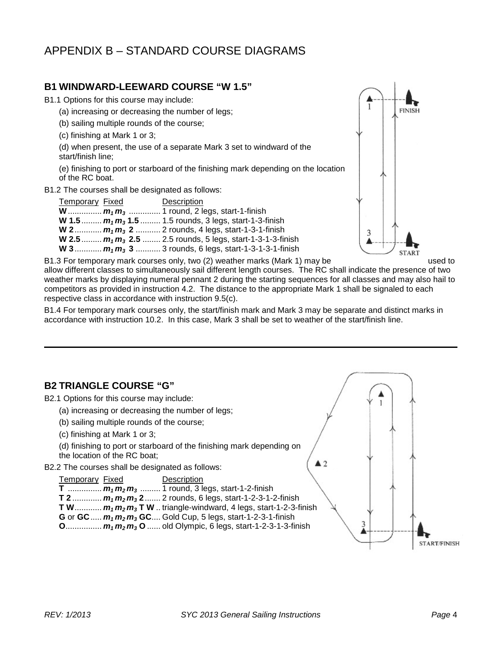## APPENDIX B – STANDARD COURSE DIAGRAMS

## **B1 WINDWARD-LEEWARD COURSE "W 1.5"**

B1.1 Options for this course may include:

- (a) increasing or decreasing the number of legs;
- (b) sailing multiple rounds of the course;
- (c) finishing at Mark 1 or 3;

(d) when present, the use of a separate Mark 3 set to windward of the start/finish line;

(e) finishing to port or starboard of the finishing mark depending on the location of the RC boat.

B1.2 The courses shall be designated as follows:

| <b>Temporary Fixed</b> | Description                                                          |
|------------------------|----------------------------------------------------------------------|
|                        | <b>W</b> $m_1 m_3$ 1 round, 2 legs, start-1-finish                   |
|                        | <b>W</b> 1.5 $m_1 m_3$ 1.5 1.5 rounds, 3 legs, start-1-3-finish      |
|                        | <b>W</b> 2 $m_1 m_3$ 2  2 rounds, 4 legs, start-1-3-1-finish         |
|                        | <b>W</b> 2.5 $m_1 m_3$ 2.5  2.5 rounds, 5 legs, start-1-3-1-3-finish |
|                        | <b>W</b> 3 $m_1 m_3$ 3 3 rounds, 6 legs, start-1-3-1-3-1-finish      |



B1.3 For temporary mark courses only, two (2) weather marks (Mark 1) may be used to allow different classes to simultaneously sail different length courses. The RC shall indicate the presence of two weather marks by displaying numeral pennant 2 during the starting sequences for all classes and may also hail to competitors as provided in instruction 4.2. The distance to the appropriate Mark 1 shall be signaled to each respective class in accordance with instruction 9.5(c).

B1.4 For temporary mark courses only, the start/finish mark and Mark 3 may be separate and distinct marks in accordance with instruction [10.2.](#page-1-0) In this case, Mark 3 shall be set to weather of the start/finish line.